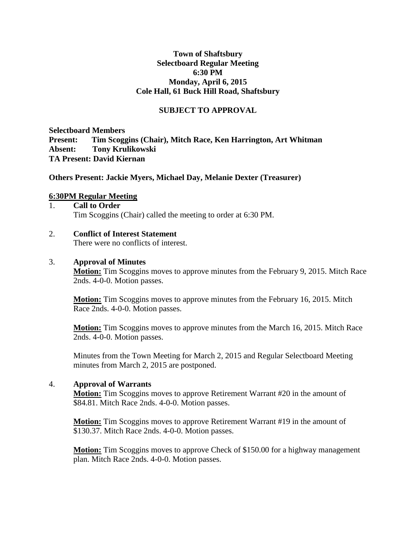#### **Town of Shaftsbury Selectboard Regular Meeting 6:30 PM Monday, April 6, 2015 Cole Hall, 61 Buck Hill Road, Shaftsbury**

### **SUBJECT TO APPROVAL**

**Selectboard Members Present: Tim Scoggins (Chair), Mitch Race, Ken Harrington, Art Whitman Absent: Tony Krulikowski TA Present: David Kiernan**

**Others Present: Jackie Myers, Michael Day, Melanie Dexter (Treasurer)**

#### **6:30PM Regular Meeting**

#### 1. **Call to Order** Tim Scoggins (Chair) called the meeting to order at 6:30 PM.

### 2. **Conflict of Interest Statement**

There were no conflicts of interest.

#### 3. **Approval of Minutes**

**Motion:** Tim Scoggins moves to approve minutes from the February 9, 2015. Mitch Race 2nds. 4-0-0. Motion passes.

**Motion:** Tim Scoggins moves to approve minutes from the February 16, 2015. Mitch Race 2nds. 4-0-0. Motion passes.

**Motion:** Tim Scoggins moves to approve minutes from the March 16, 2015. Mitch Race 2nds. 4-0-0. Motion passes.

Minutes from the Town Meeting for March 2, 2015 and Regular Selectboard Meeting minutes from March 2, 2015 are postponed.

#### 4. **Approval of Warrants**

**Motion:** Tim Scoggins moves to approve Retirement Warrant #20 in the amount of \$84.81. Mitch Race 2nds. 4-0-0. Motion passes.

**Motion:** Tim Scoggins moves to approve Retirement Warrant #19 in the amount of \$130.37. Mitch Race 2nds. 4-0-0. Motion passes.

**Motion:** Tim Scoggins moves to approve Check of \$150.00 for a highway management plan. Mitch Race 2nds. 4-0-0. Motion passes.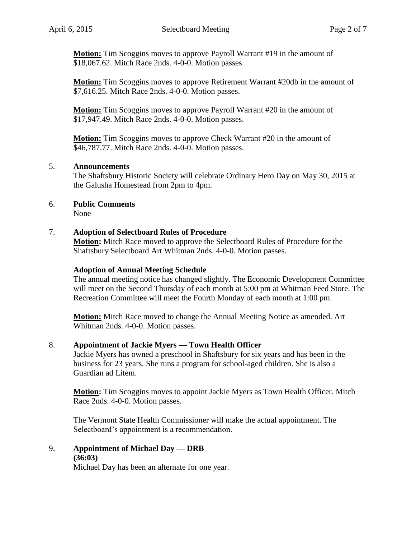**Motion:** Tim Scoggins moves to approve Payroll Warrant #19 in the amount of \$18,067.62. Mitch Race 2nds. 4-0-0. Motion passes.

**Motion:** Tim Scoggins moves to approve Retirement Warrant #20db in the amount of \$7,616.25. Mitch Race 2nds. 4-0-0. Motion passes.

**Motion:** Tim Scoggins moves to approve Payroll Warrant #20 in the amount of \$17,947.49. Mitch Race 2nds. 4-0-0. Motion passes.

**Motion:** Tim Scoggins moves to approve Check Warrant #20 in the amount of \$46,787.77. Mitch Race 2nds. 4-0-0. Motion passes.

### 5. **Announcements**

The Shaftsbury Historic Society will celebrate Ordinary Hero Day on May 30, 2015 at the Galusha Homestead from 2pm to 4pm.

### 6. **Public Comments**

None

#### 7. **Adoption of Selectboard Rules of Procedure**

**Motion:** Mitch Race moved to approve the Selectboard Rules of Procedure for the Shaftsbury Selectboard Art Whitman 2nds. 4-0-0. Motion passes.

#### **Adoption of Annual Meeting Schedule**

The annual meeting notice has changed slightly. The Economic Development Committee will meet on the Second Thursday of each month at 5:00 pm at Whitman Feed Store. The Recreation Committee will meet the Fourth Monday of each month at 1:00 pm.

**Motion:** Mitch Race moved to change the Annual Meeting Notice as amended. Art Whitman 2nds. 4-0-0. Motion passes.

#### 8. **Appointment of Jackie Myers — Town Health Officer**

Jackie Myers has owned a preschool in Shaftsbury for six years and has been in the business for 23 years. She runs a program for school-aged children. She is also a Guardian ad Litem.

**Motion:** Tim Scoggins moves to appoint Jackie Myers as Town Health Officer. Mitch Race 2nds. 4-0-0. Motion passes.

The Vermont State Health Commissioner will make the actual appointment. The Selectboard's appointment is a recommendation.

9. **Appointment of Michael Day — DRB**

#### **(36:03)**

Michael Day has been an alternate for one year.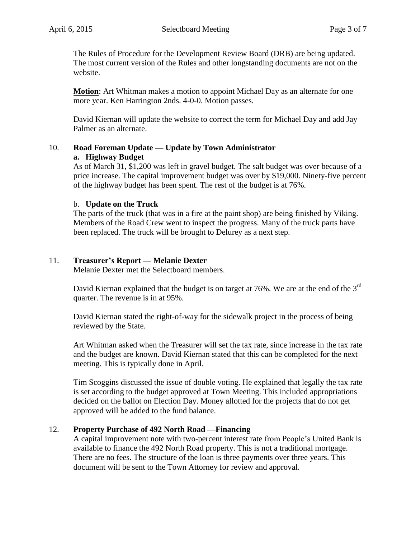The Rules of Procedure for the Development Review Board (DRB) are being updated. The most current version of the Rules and other longstanding documents are not on the website.

**Motion**: Art Whitman makes a motion to appoint Michael Day as an alternate for one more year. Ken Harrington 2nds. 4-0-0. Motion passes.

David Kiernan will update the website to correct the term for Michael Day and add Jay Palmer as an alternate.

### 10. **Road Foreman Update — Update by Town Administrator a. Highway Budget**

As of March 31, \$1,200 was left in gravel budget. The salt budget was over because of a price increase. The capital improvement budget was over by \$19,000. Ninety-five percent of the highway budget has been spent. The rest of the budget is at 76%.

## b. **Update on the Truck**

The parts of the truck (that was in a fire at the paint shop) are being finished by Viking. Members of the Road Crew went to inspect the progress. Many of the truck parts have been replaced. The truck will be brought to Delurey as a next step.

## 11. **Treasurer's Report — Melanie Dexter**

Melanie Dexter met the Selectboard members.

David Kiernan explained that the budget is on target at  $76\%$ . We are at the end of the  $3<sup>rd</sup>$ quarter. The revenue is in at 95%.

David Kiernan stated the right-of-way for the sidewalk project in the process of being reviewed by the State.

Art Whitman asked when the Treasurer will set the tax rate, since increase in the tax rate and the budget are known. David Kiernan stated that this can be completed for the next meeting. This is typically done in April.

Tim Scoggins discussed the issue of double voting. He explained that legally the tax rate is set according to the budget approved at Town Meeting. This included appropriations decided on the ballot on Election Day. Money allotted for the projects that do not get approved will be added to the fund balance.

## 12. **Property Purchase of 492 North Road —Financing**

A capital improvement note with two-percent interest rate from People's United Bank is available to finance the 492 North Road property. This is not a traditional mortgage. There are no fees. The structure of the loan is three payments over three years. This document will be sent to the Town Attorney for review and approval.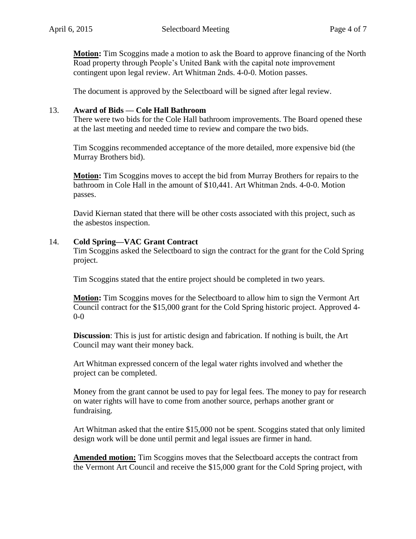**Motion:** Tim Scoggins made a motion to ask the Board to approve financing of the North Road property through People's United Bank with the capital note improvement contingent upon legal review. Art Whitman 2nds. 4-0-0. Motion passes.

The document is approved by the Selectboard will be signed after legal review.

#### 13. **Award of Bids — Cole Hall Bathroom**

There were two bids for the Cole Hall bathroom improvements. The Board opened these at the last meeting and needed time to review and compare the two bids.

Tim Scoggins recommended acceptance of the more detailed, more expensive bid (the Murray Brothers bid).

**Motion:** Tim Scoggins moves to accept the bid from Murray Brothers for repairs to the bathroom in Cole Hall in the amount of \$10,441. Art Whitman 2nds. 4-0-0. Motion passes.

David Kiernan stated that there will be other costs associated with this project, such as the asbestos inspection.

#### 14. **Cold Spring—VAC Grant Contract**

Tim Scoggins asked the Selectboard to sign the contract for the grant for the Cold Spring project.

Tim Scoggins stated that the entire project should be completed in two years.

**Motion:** Tim Scoggins moves for the Selectboard to allow him to sign the Vermont Art Council contract for the \$15,000 grant for the Cold Spring historic project. Approved 4- 0-0

**Discussion**: This is just for artistic design and fabrication. If nothing is built, the Art Council may want their money back.

Art Whitman expressed concern of the legal water rights involved and whether the project can be completed.

Money from the grant cannot be used to pay for legal fees. The money to pay for research on water rights will have to come from another source, perhaps another grant or fundraising.

Art Whitman asked that the entire \$15,000 not be spent. Scoggins stated that only limited design work will be done until permit and legal issues are firmer in hand.

**Amended motion:** Tim Scoggins moves that the Selectboard accepts the contract from the Vermont Art Council and receive the \$15,000 grant for the Cold Spring project, with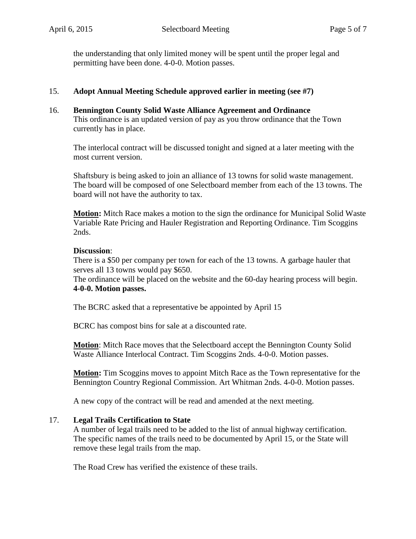the understanding that only limited money will be spent until the proper legal and permitting have been done. 4-0-0. Motion passes.

## 15. **Adopt Annual Meeting Schedule approved earlier in meeting (see #7)**

16. **Bennington County Solid Waste Alliance Agreement and Ordinance**

This ordinance is an updated version of pay as you throw ordinance that the Town currently has in place.

The interlocal contract will be discussed tonight and signed at a later meeting with the most current version.

Shaftsbury is being asked to join an alliance of 13 towns for solid waste management. The board will be composed of one Selectboard member from each of the 13 towns. The board will not have the authority to tax.

**Motion:** Mitch Race makes a motion to the sign the ordinance for [Municipal Solid Waste](http://shaftsburyvt.gov/docs/ordinances/Mun-SW-Ordinance.pdf)  [Variable Rate Pricing and Hauler Registration and Reporting Ordinance.](http://shaftsburyvt.gov/docs/ordinances/Mun-SW-Ordinance.pdf) Tim Scoggins 2nds.

### **Discussion**:

There is a \$50 per company per town for each of the 13 towns. A garbage hauler that serves all 13 towns would pay \$650.

The ordinance will be placed on the website and the 60-day hearing process will begin. **4-0-0. Motion passes.**

The BCRC asked that a representative be appointed by April 15

BCRC has compost bins for sale at a discounted rate.

**Motion**: Mitch Race moves that the Selectboard accept the Bennington County Solid Waste Alliance Interlocal Contract. Tim Scoggins 2nds. 4-0-0. Motion passes.

**Motion:** Tim Scoggins moves to appoint Mitch Race as the Town representative for the Bennington Country Regional Commission. Art Whitman 2nds. 4-0-0. Motion passes.

A new copy of the contract will be read and amended at the next meeting.

### 17. **Legal Trails Certification to State**

A number of legal trails need to be added to the list of annual highway certification. The specific names of the trails need to be documented by April 15, or the State will remove these legal trails from the map.

The Road Crew has verified the existence of these trails.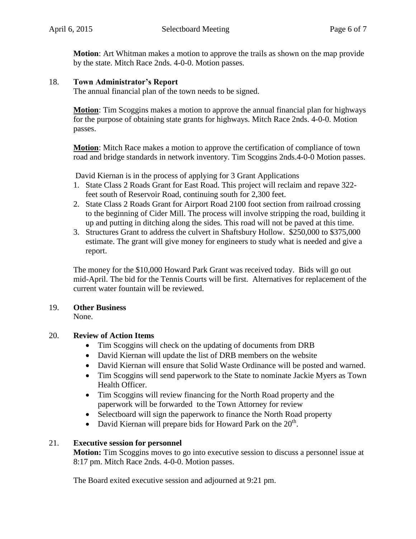**Motion**: Art Whitman makes a motion to approve the trails as shown on the map provide by the state. Mitch Race 2nds. 4-0-0. Motion passes.

### 18. **Town Administrator's Report**

The annual financial plan of the town needs to be signed.

**Motion**: Tim Scoggins makes a motion to approve the annual financial plan for highways for the purpose of obtaining state grants for highways. Mitch Race 2nds. 4-0-0. Motion passes.

**Motion**: Mitch Race makes a motion to approve the certification of compliance of town road and bridge standards in network inventory. Tim Scoggins 2nds.4-0-0 Motion passes.

David Kiernan is in the process of applying for 3 Grant Applications

- 1. State Class 2 Roads Grant for East Road. This project will reclaim and repave 322 feet south of Reservoir Road, continuing south for 2,300 feet.
- 2. State Class 2 Roads Grant for Airport Road 2100 foot section from railroad crossing to the beginning of Cider Mill. The process will involve stripping the road, building it up and putting in ditching along the sides. This road will not be paved at this time.
- 3. Structures Grant to address the culvert in Shaftsbury Hollow. \$250,000 to \$375,000 estimate. The grant will give money for engineers to study what is needed and give a report.

The money for the \$10,000 Howard Park Grant was received today. Bids will go out mid-April. The bid for the Tennis Courts will be first. Alternatives for replacement of the current water fountain will be reviewed.

## 19. **Other Business**

None.

## 20. **Review of Action Items**

- Tim Scoggins will check on the updating of documents from DRB
- David Kiernan will update the list of DRB members on the website
- David Kiernan will ensure that Solid Waste Ordinance will be posted and warned.
- Tim Scoggins will send paperwork to the State to nominate Jackie Myers as Town Health Officer.
- Tim Scoggins will review financing for the North Road property and the paperwork will be forwarded to the Town Attorney for review
- Selectboard will sign the paperwork to finance the North Road property
- David Kiernan will prepare bids for Howard Park on the  $20<sup>th</sup>$ .

## 21. **Executive session for personnel**

**Motion:** Tim Scoggins moves to go into executive session to discuss a personnel issue at 8:17 pm. Mitch Race 2nds. 4-0-0. Motion passes.

The Board exited executive session and adjourned at 9:21 pm.